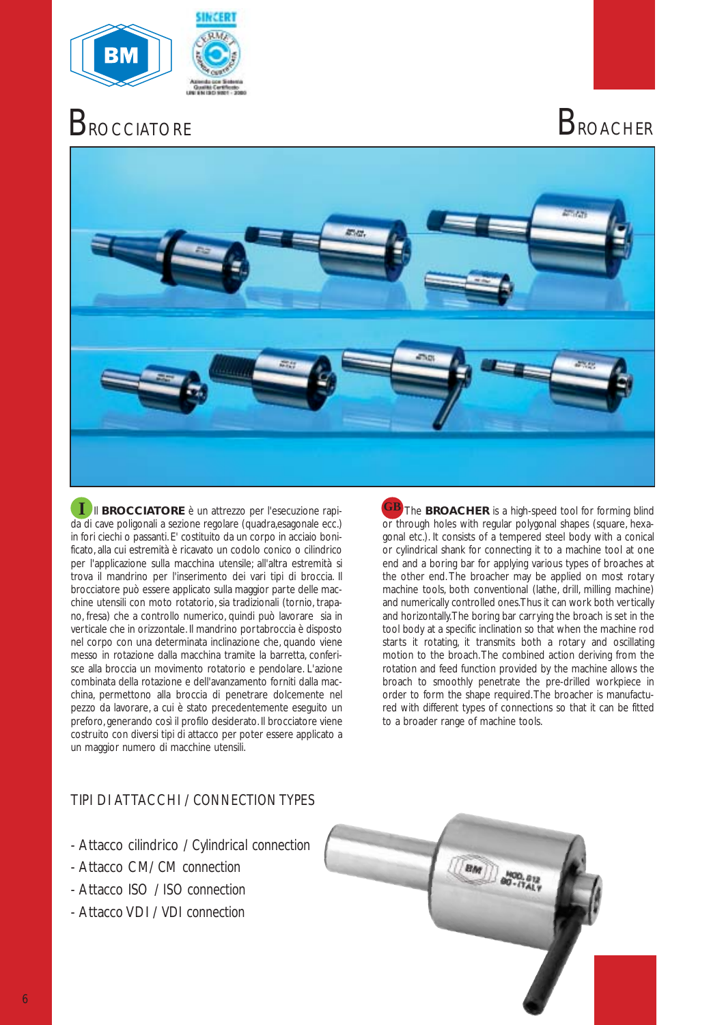

# BROCCIATORE BROACHER



**I BROCCIATORE** è un attrezzo per l'esecuzione rapi-<br> **GB** da di cave poligonali a sezione regolare (quadra,esagonale ecc.) in fori ciechi o passanti. E' costituito da un corpo in acciaio bonificato, alla cui estremità è ricavato un codolo conico o cilindrico per l'applicazione sulla macchina utensile; all'altra estremità si trova il mandrino per l'inserimento dei vari tipi di broccia. Il brocciatore può essere applicato sulla maggior parte delle macchine utensili con moto rotatorio, sia tradizionali (tornio, trapano, fresa) che a controllo numerico, quindi può lavorare sia in verticale che in orizzontale. Il mandrino portabroccia è disposto nel corpo con una determinata inclinazione che, quando viene messo in rotazione dalla macchina tramite la barretta, conferisce alla broccia un movimento rotatorio e pendolare. L'azione combinata della rotazione e dell'avanzamento forniti dalla macchina, permettono alla broccia di penetrare dolcemente nel pezzo da lavorare, a cui è stato precedentemente eseguito un preforo, generando così il profilo desiderato. Il brocciatore viene costruito con diversi tipi di attacco per poter essere applicato a un maggior numero di macchine utensili.

**GB** The **BROACHER** is a high-speed tool for forming blind or through holes with regular polygonal shapes (square, hexagonal etc.). It consists of a tempered steel body with a conical or cylindrical shank for connecting it to a machine tool at one end and a boring bar for applying various types of broaches at the other end. The broacher may be applied on most rotary machine tools, both conventional (lathe, drill, milling machine) and numerically controlled ones.Thus it can work both vertically and horizontally.The boring bar carrying the broach is set in the tool body at a specific inclination so that when the machine rod starts it rotating, it transmits both a rotary and oscillating motion to the broach.The combined action deriving from the rotation and feed function provided by the machine allows the broach to smoothly penetrate the pre-drilled workpiece in order to form the shape required.The broacher is manufactured with different types of connections so that it can be fitted to a broader range of machine tools.

## TIPI DI ATTACCHI / *CONNECTION TYPES*

- Attacco cilindrico / *Cylindrical connection*
- Attacco CM/ *CM connection*
- Attacco ISO / *ISO connection*
- Attacco VDI / *VDI connection*